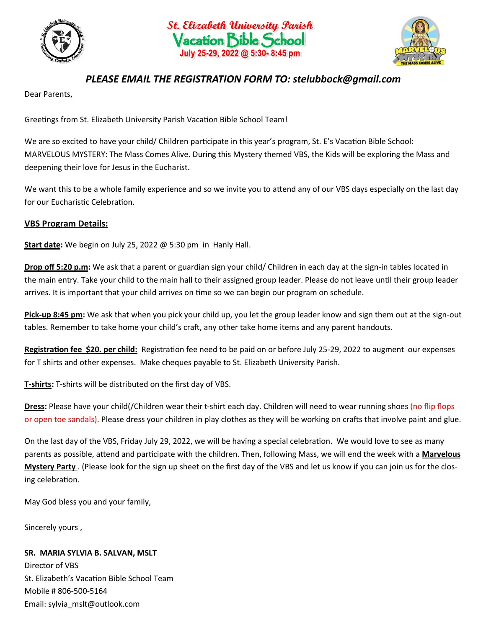





## *PLEASE EMAIL THE REGISTRATION FORM TO: stelubbock@gmail.com*

Dear Parents,

Greetings from St. Elizabeth University Parish Vacation Bible School Team!

We are so excited to have your child/ Children participate in this year's program, St. E's Vacation Bible School: MARVELOUS MYSTERY: The Mass Comes Alive. During this Mystery themed VBS, the Kids will be exploring the Mass and deepening their love for Jesus in the Eucharist.

We want this to be a whole family experience and so we invite you to attend any of our VBS days especially on the last day for our Eucharistic Celebration.

## **VBS Program Details:**

**Start date:** We begin on July 25, 2022 @ 5:30 pm in Hanly Hall.

**Drop off 5:20 p.m:** We ask that a parent or guardian sign your child/ Children in each day at the sign-in tables located in the main entry. Take your child to the main hall to their assigned group leader. Please do not leave until their group leader arrives. It is important that your child arrives on time so we can begin our program on schedule.

**Pick-up 8:45 pm:** We ask that when you pick your child up, you let the group leader know and sign them out at the sign-out tables. Remember to take home your child's craft, any other take home items and any parent handouts.

**Registration fee \$20. per child:** Registration fee need to be paid on or before July 25-29, 2022 to augment our expenses for T shirts and other expenses. Make cheques payable to St. Elizabeth University Parish.

**T-shirts:** T-shirts will be distributed on the first day of VBS.

**Dress:** Please have your child(/Children wear their t-shirt each day. Children will need to wear running shoes (no flip flops or open toe sandals). Please dress your children in play clothes as they will be working on crafts that involve paint and glue.

On the last day of the VBS, Friday July 29, 2022, we will be having a special celebration. We would love to see as many parents as possible, attend and participate with the children. Then, following Mass, we will end the week with a **Marvelous Mystery Party** . (Please look for the sign up sheet on the first day of the VBS and let us know if you can join us for the closing celebration.

May God bless you and your family,

Sincerely yours ,

## **SR. MARIA SYLVIA B. SALVAN, MSLT**

Director of VBS St. Elizabeth's Vacation Bible School Team Mobile # 806-500-5164 Email: sylvia\_mslt@outlook.com